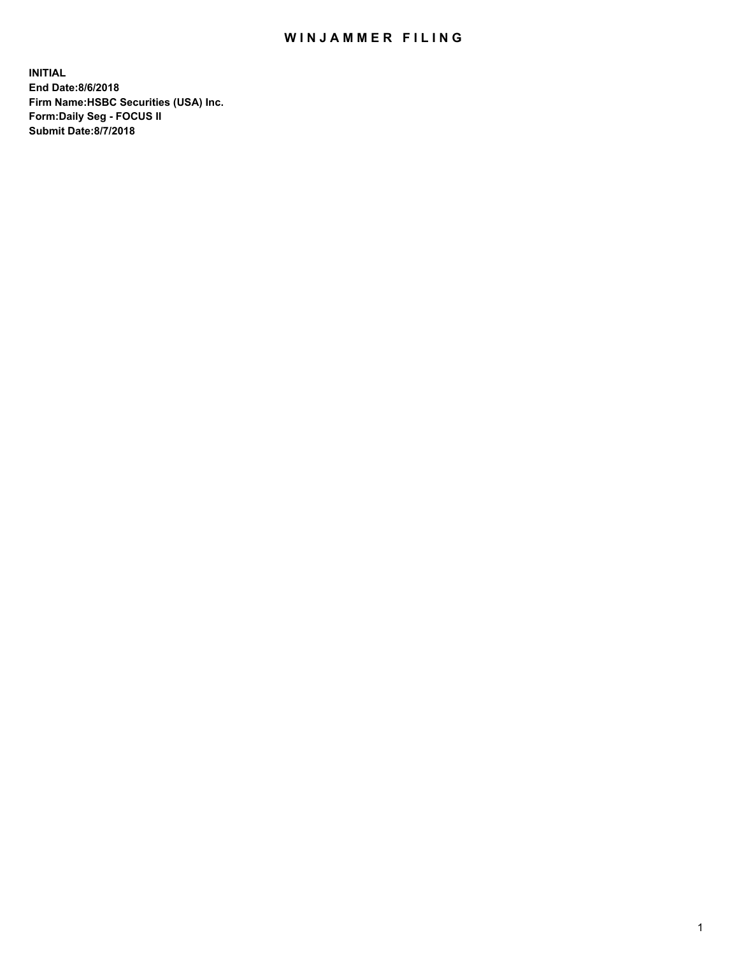## WIN JAMMER FILING

**INITIAL End Date:8/6/2018 Firm Name:HSBC Securities (USA) Inc. Form:Daily Seg - FOCUS II Submit Date:8/7/2018**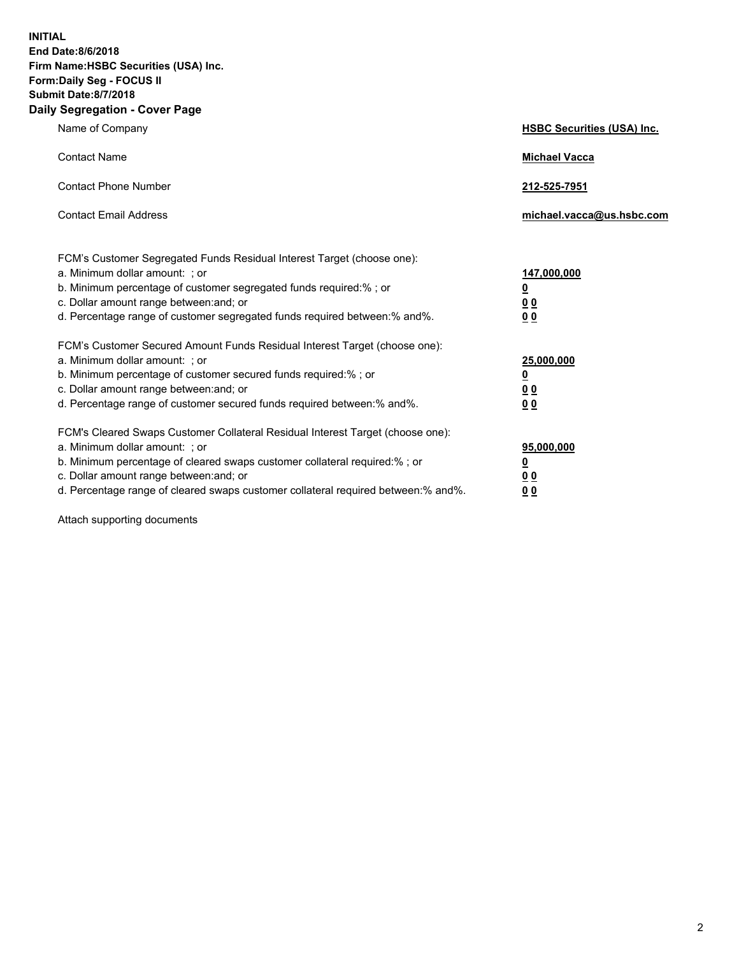**INITIAL End Date:8/6/2018 Firm Name:HSBC Securities (USA) Inc. Form:Daily Seg - FOCUS II Submit Date:8/7/2018 Daily Segregation - Cover Page**

| Name of Company                                                                                                                                                                                                                                                                                                                | <b>HSBC Securities (USA) Inc.</b>                           |
|--------------------------------------------------------------------------------------------------------------------------------------------------------------------------------------------------------------------------------------------------------------------------------------------------------------------------------|-------------------------------------------------------------|
| <b>Contact Name</b>                                                                                                                                                                                                                                                                                                            | <b>Michael Vacca</b>                                        |
| <b>Contact Phone Number</b>                                                                                                                                                                                                                                                                                                    | 212-525-7951                                                |
| <b>Contact Email Address</b>                                                                                                                                                                                                                                                                                                   | michael.vacca@us.hsbc.com                                   |
| FCM's Customer Segregated Funds Residual Interest Target (choose one):<br>a. Minimum dollar amount: ; or<br>b. Minimum percentage of customer segregated funds required:% ; or<br>c. Dollar amount range between: and; or<br>d. Percentage range of customer segregated funds required between:% and%.                         | 147,000,000<br><u>0</u><br>0 <sub>0</sub><br>0 <sub>0</sub> |
| FCM's Customer Secured Amount Funds Residual Interest Target (choose one):<br>a. Minimum dollar amount: ; or<br>b. Minimum percentage of customer secured funds required:%; or<br>c. Dollar amount range between: and; or<br>d. Percentage range of customer secured funds required between:% and%.                            | 25,000,000<br><u>0</u><br>0 <sub>0</sub><br>0 <sub>0</sub>  |
| FCM's Cleared Swaps Customer Collateral Residual Interest Target (choose one):<br>a. Minimum dollar amount: ; or<br>b. Minimum percentage of cleared swaps customer collateral required:% ; or<br>c. Dollar amount range between: and; or<br>d. Percentage range of cleared swaps customer collateral required between:% and%. | 95,000,000<br><u>0</u><br>00<br><u>00</u>                   |

Attach supporting documents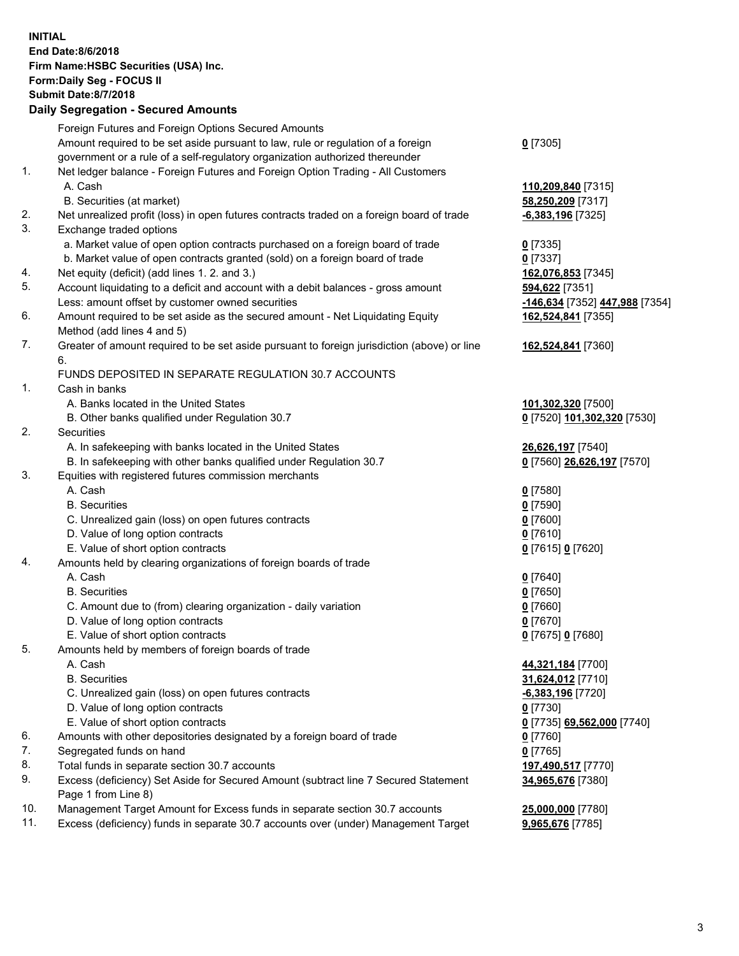**INITIAL End Date:8/6/2018 Firm Name:HSBC Securities (USA) Inc. Form:Daily Seg - FOCUS II Submit Date:8/7/2018 Daily Segregation - Secured Amounts** Foreign Futures and Foreign Options Secured Amounts Amount required to be set aside pursuant to law, rule or regulation of a foreign government or a rule of a self-regulatory organization authorized thereunder **0** [7305] 1. Net ledger balance - Foreign Futures and Foreign Option Trading - All Customers A. Cash **110,209,840** [7315] B. Securities (at market) **58,250,209** [7317] 2. Net unrealized profit (loss) in open futures contracts traded on a foreign board of trade **-6,383,196** [7325] 3. Exchange traded options a. Market value of open option contracts purchased on a foreign board of trade **0** [7335] b. Market value of open contracts granted (sold) on a foreign board of trade **0** [7337] 4. Net equity (deficit) (add lines 1. 2. and 3.) **162,076,853** [7345] 5. Account liquidating to a deficit and account with a debit balances - gross amount **594,622** [7351] Less: amount offset by customer owned securities **-146,634** [7352] **447,988** [7354] 6. Amount required to be set aside as the secured amount - Net Liquidating Equity Method (add lines 4 and 5) **162,524,841** [7355] 7. Greater of amount required to be set aside pursuant to foreign jurisdiction (above) or line 6. **162,524,841** [7360] FUNDS DEPOSITED IN SEPARATE REGULATION 30.7 ACCOUNTS 1. Cash in banks A. Banks located in the United States **101,302,320** [7500] B. Other banks qualified under Regulation 30.7 **0** [7520] **101,302,320** [7530] 2. Securities A. In safekeeping with banks located in the United States **26,626,197** [7540] B. In safekeeping with other banks qualified under Regulation 30.7 **0** [7560] **26,626,197** [7570] 3. Equities with registered futures commission merchants A. Cash **0** [7580] B. Securities **0** [7590] C. Unrealized gain (loss) on open futures contracts **0** [7600] D. Value of long option contracts **0** [7610] E. Value of short option contracts **0** [7615] **0** [7620] 4. Amounts held by clearing organizations of foreign boards of trade A. Cash **0** [7640] B. Securities **0** [7650] C. Amount due to (from) clearing organization - daily variation **0** [7660] D. Value of long option contracts **0** [7670] E. Value of short option contracts **0** [7675] **0** [7680] 5. Amounts held by members of foreign boards of trade A. Cash **44,321,184** [7700] B. Securities **31,624,012** [7710] C. Unrealized gain (loss) on open futures contracts **-6,383,196** [7720] D. Value of long option contracts **0** [7730] E. Value of short option contracts **0** [7735] **69,562,000** [7740] 6. Amounts with other depositories designated by a foreign board of trade **0** [7760] 7. Segregated funds on hand **0** [7765] 8. Total funds in separate section 30.7 accounts **197,490,517** [7770] 9. Excess (deficiency) Set Aside for Secured Amount (subtract line 7 Secured Statement Page 1 from Line 8) **34,965,676** [7380] 10. Management Target Amount for Excess funds in separate section 30.7 accounts **25,000,000** [7780] 11. Excess (deficiency) funds in separate 30.7 accounts over (under) Management Target **9,965,676** [7785]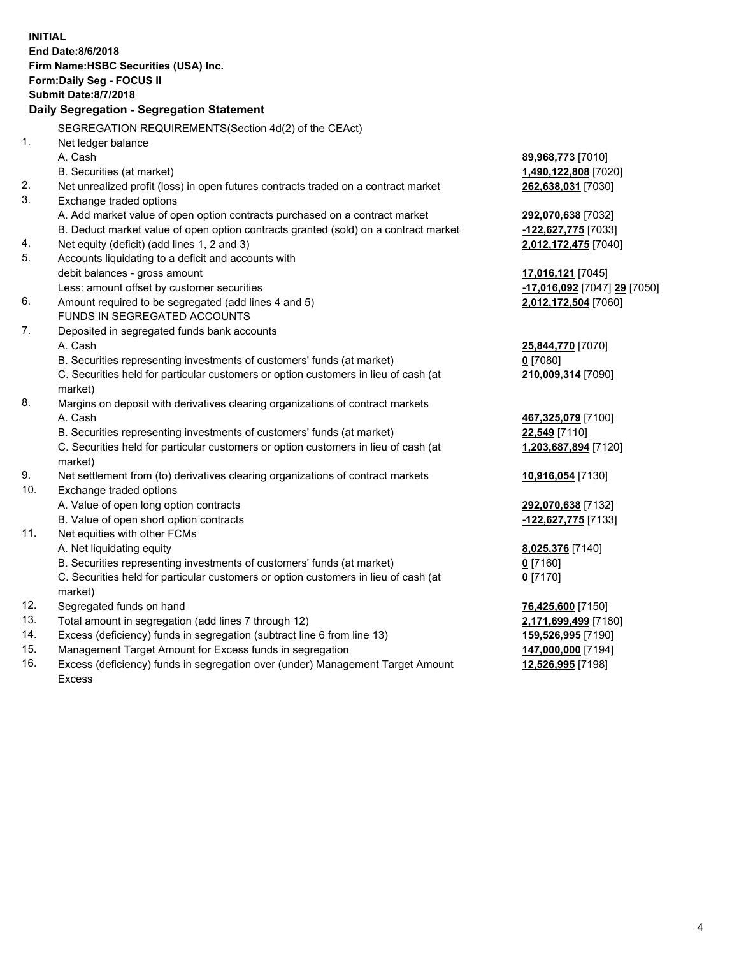| <b>INITIAL</b> | End Date:8/6/2018<br>Firm Name: HSBC Securities (USA) Inc.<br>Form: Daily Seg - FOCUS II<br><b>Submit Date: 8/7/2018</b><br>Daily Segregation - Segregation Statement                                 |                                                                           |
|----------------|-------------------------------------------------------------------------------------------------------------------------------------------------------------------------------------------------------|---------------------------------------------------------------------------|
| 1.             | SEGREGATION REQUIREMENTS(Section 4d(2) of the CEAct)<br>Net ledger balance                                                                                                                            |                                                                           |
|                | A. Cash<br>B. Securities (at market)                                                                                                                                                                  | 89,968,773 [7010]<br>1,490,122,808 [7020]                                 |
| 2.<br>3.       | Net unrealized profit (loss) in open futures contracts traded on a contract market                                                                                                                    | 262,638,031 [7030]                                                        |
|                | Exchange traded options<br>A. Add market value of open option contracts purchased on a contract market<br>B. Deduct market value of open option contracts granted (sold) on a contract market         | 292,070,638 [7032]<br>-122,627,775 [7033]                                 |
| 4.<br>5.       | Net equity (deficit) (add lines 1, 2 and 3)<br>Accounts liquidating to a deficit and accounts with                                                                                                    | 2,012,172,475 [7040]                                                      |
| 6.             | debit balances - gross amount<br>Less: amount offset by customer securities<br>Amount required to be segregated (add lines 4 and 5)                                                                   | 17,016,121 [7045]<br>-17,016,092 [7047] 29 [7050]<br>2,012,172,504 [7060] |
| 7.             | FUNDS IN SEGREGATED ACCOUNTS<br>Deposited in segregated funds bank accounts                                                                                                                           |                                                                           |
|                | A. Cash<br>B. Securities representing investments of customers' funds (at market)<br>C. Securities held for particular customers or option customers in lieu of cash (at<br>market)                   | 25,844,770 [7070]<br>$0$ [7080]<br>210,009,314 [7090]                     |
| 8.             | Margins on deposit with derivatives clearing organizations of contract markets<br>A. Cash                                                                                                             | 467,325,079 [7100]                                                        |
|                | B. Securities representing investments of customers' funds (at market)<br>C. Securities held for particular customers or option customers in lieu of cash (at<br>market)                              | 22,549 [7110]<br>1,203,687,894 [7120]                                     |
| 9.<br>10.      | Net settlement from (to) derivatives clearing organizations of contract markets<br>Exchange traded options                                                                                            | 10,916,054 [7130]                                                         |
| 11.            | A. Value of open long option contracts<br>B. Value of open short option contracts<br>Net equities with other FCMs                                                                                     | 292,070,638 [7132]<br>-122,627,775 [7133]                                 |
|                | A. Net liquidating equity<br>B. Securities representing investments of customers' funds (at market)<br>C. Securities held for particular customers or option customers in lieu of cash (at<br>market) | 8,025,376 [7140]<br>$0$ [7160]<br>$0$ [7170]                              |
| 12.<br>13.     | Segregated funds on hand<br>Total amount in segregation (add lines 7 through 12)                                                                                                                      | 76,425,600 [7150]                                                         |
| 14.<br>15.     | Excess (deficiency) funds in segregation (subtract line 6 from line 13)<br>Management Target Amount for Excess funds in segregation                                                                   | 2,171,699,499 [7180]<br>159,526,995 [7190]<br>147,000,000 [7194]          |
| 16.            | Excess (deficiency) funds in segregation over (under) Management Target Amount<br>Excess                                                                                                              | 12,526,995 [7198]                                                         |